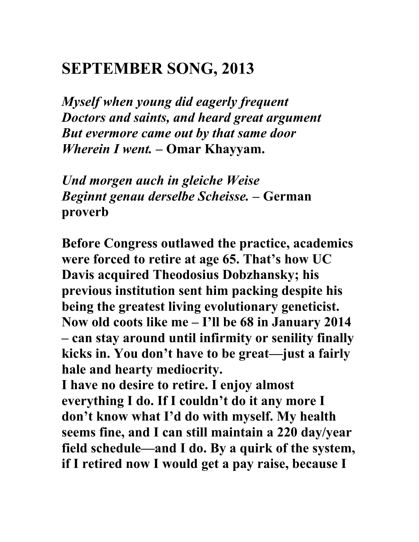## **SEPTEMBER SONG, 2013**

*Myself when young did eagerly frequent Doctors and saints, and heard great argument But evermore came out by that same door Wherein I went. –* **Omar Khayyam.**

*Und morgen auch in gleiche Weise Beginnt genau derselbe Scheisse. –* **German proverb**

**Before Congress outlawed the practice, academics were forced to retire at age 65. That's how UC Davis acquired Theodosius Dobzhansky; his previous institution sent him packing despite his being the greatest living evolutionary geneticist. Now old coots like me – I'll be 68 in January 2014 – can stay around until infirmity or senility finally kicks in. You don't have to be great—just a fairly hale and hearty mediocrity.**

**I have no desire to retire. I enjoy almost everything I do. If I couldn't do it any more I don't know what I'd do with myself. My health seems fine, and I can still maintain a 220 day/year field schedule—and I do. By a quirk of the system, if I retired now I would get a pay raise, because I**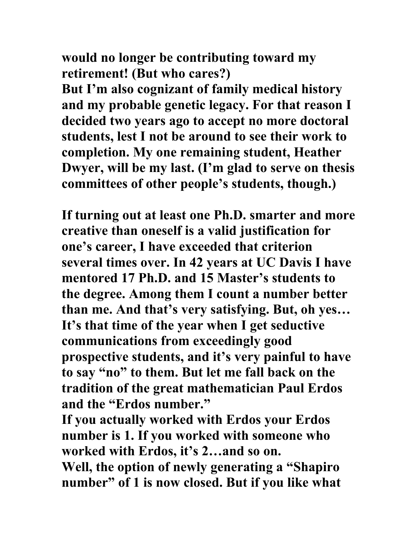**would no longer be contributing toward my retirement! (But who cares?) But I'm also cognizant of family medical history and my probable genetic legacy. For that reason I decided two years ago to accept no more doctoral students, lest I not be around to see their work to completion. My one remaining student, Heather Dwyer, will be my last. (I'm glad to serve on thesis committees of other people's students, though.)**

**If turning out at least one Ph.D. smarter and more creative than oneself is a valid justification for one's career, I have exceeded that criterion several times over. In 42 years at UC Davis I have mentored 17 Ph.D. and 15 Master's students to the degree. Among them I count a number better than me. And that's very satisfying. But, oh yes… It's that time of the year when I get seductive communications from exceedingly good prospective students, and it's very painful to have to say "no" to them. But let me fall back on the tradition of the great mathematician Paul Erdos and the "Erdos number."** 

**If you actually worked with Erdos your Erdos number is 1. If you worked with someone who worked with Erdos, it's 2…and so on.**

**Well, the option of newly generating a "Shapiro number" of 1 is now closed. But if you like what**